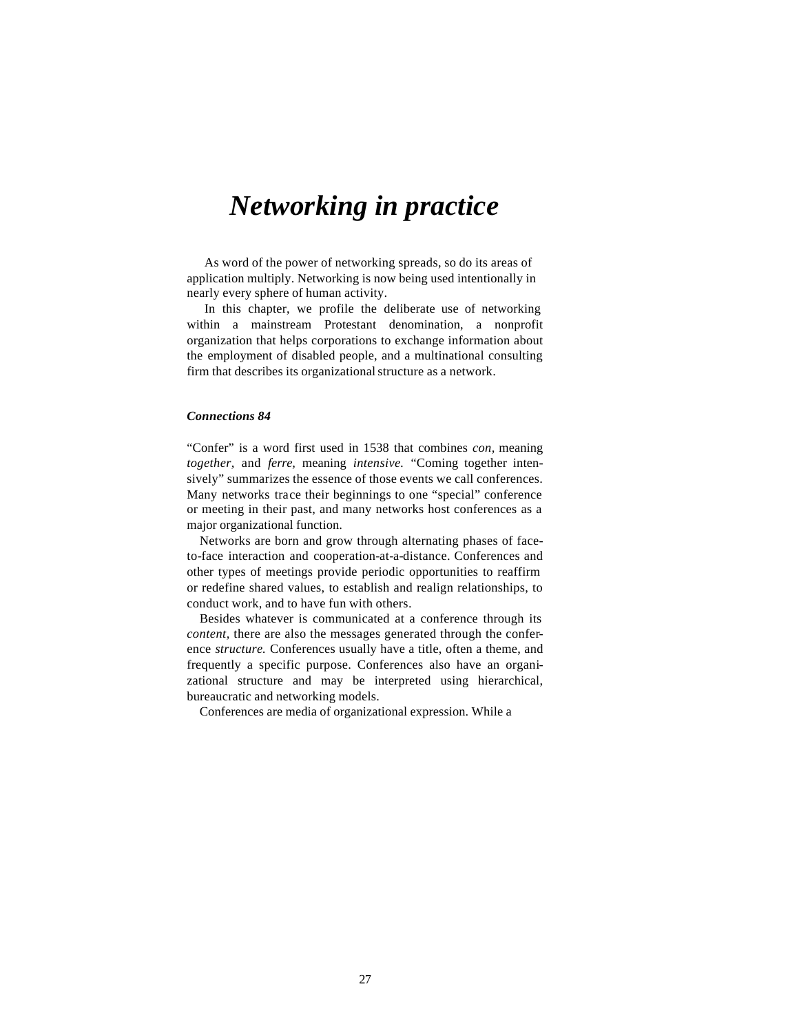# *Networking in practice*

As word of the power of networking spreads, so do its areas of application multiply. Networking is now being used intentionally in nearly every sphere of human activity.

In this chapter, we profile the deliberate use of networking within a mainstream Protestant denomination, a nonprofit organization that helps corporations to exchange information about the employment of disabled people, and a multinational consulting firm that describes its organizational structure as a network.

## *Connections 84*

"Confer" is a word first used in 1538 that combines *con,* meaning *together,* and *ferre,* meaning *intensive.* "Coming together intensively" summarizes the essence of those events we call conferences. Many networks trace their beginnings to one "special" conference or meeting in their past, and many networks host conferences as a major organizational function.

Networks are born and grow through alternating phases of faceto-face interaction and cooperation-at-a-distance. Conferences and other types of meetings provide periodic opportunities to reaffirm or redefine shared values, to establish and realign relationships, to conduct work, and to have fun with others.

Besides whatever is communicated at a conference through its *content,* there are also the messages generated through the conference *structure.* Conferences usually have a title, often a theme, and frequently a specific purpose. Conferences also have an organizational structure and may be interpreted using hierarchical, bureaucratic and networking models.

Conferences are media of organizational expression. While a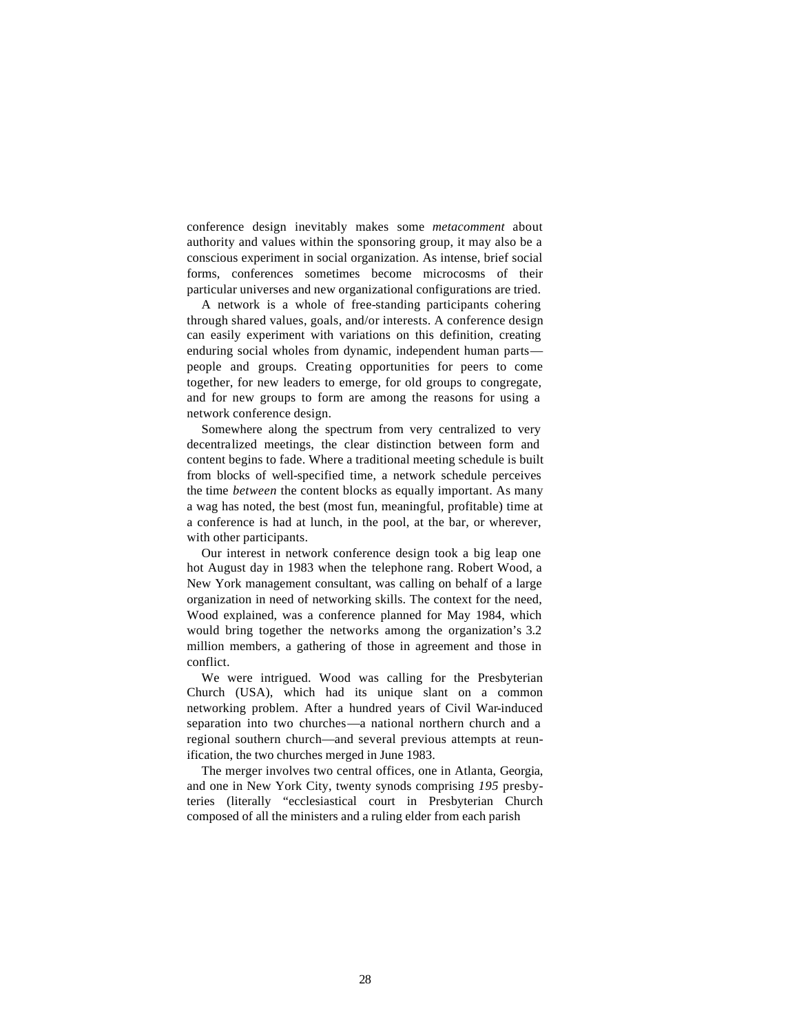conference design inevitably makes some *metacomment* about authority and values within the sponsoring group, it may also be a conscious experiment in social organization. As intense, brief social forms, conferences sometimes become microcosms of their particular universes and new organizational configurations are tried.

A network is a whole of free-standing participants cohering through shared values, goals, and/or interests. A conference design can easily experiment with variations on this definition, creating enduring social wholes from dynamic, independent human parts people and groups. Creating opportunities for peers to come together, for new leaders to emerge, for old groups to congregate, and for new groups to form are among the reasons for using a network conference design.

Somewhere along the spectrum from very centralized to very decentralized meetings, the clear distinction between form and content begins to fade. Where a traditional meeting schedule is built from blocks of well-specified time, a network schedule perceives the time *between* the content blocks as equally important. As many a wag has noted, the best (most fun, meaningful, profitable) time at a conference is had at lunch, in the pool, at the bar, or wherever, with other participants.

Our interest in network conference design took a big leap one hot August day in 1983 when the telephone rang. Robert Wood, a New York management consultant, was calling on behalf of a large organization in need of networking skills. The context for the need, Wood explained, was a conference planned for May 1984, which would bring together the networks among the organization's 3.2 million members, a gathering of those in agreement and those in conflict.

We were intrigued. Wood was calling for the Presbyterian Church (USA), which had its unique slant on a common networking problem. After a hundred years of Civil War-induced separation into two churches—a national northern church and a regional southern church—and several previous attempts at reunification, the two churches merged in June 1983.

The merger involves two central offices, one in Atlanta, Georgia, and one in New York City, twenty synods comprising *195* presbyteries (literally "ecclesiastical court in Presbyterian Church composed of all the ministers and a ruling elder from each parish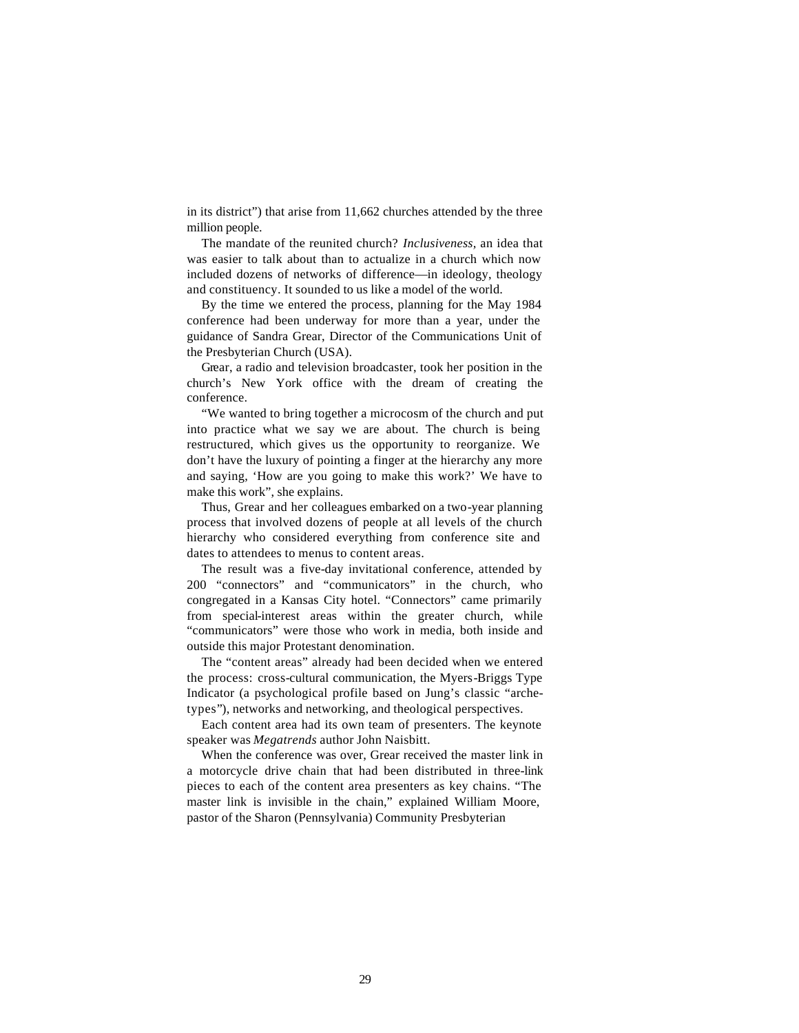in its district") that arise from 11,662 churches attended by the three million people.

The mandate of the reunited church? *Inclusiveness,* an idea that was easier to talk about than to actualize in a church which now included dozens of networks of difference—in ideology, theology and constituency. It sounded to us like a model of the world.

By the time we entered the process, planning for the May 1984 conference had been underway for more than a year, under the guidance of Sandra Grear, Director of the Communications Unit of the Presbyterian Church (USA).

Grear, a radio and television broadcaster, took her position in the church's New York office with the dream of creating the conference.

"We wanted to bring together a microcosm of the church and put into practice what we say we are about. The church is being restructured, which gives us the opportunity to reorganize. We don't have the luxury of pointing a finger at the hierarchy any more and saying, 'How are you going to make this work?' We have to make this work", she explains.

Thus, Grear and her colleagues embarked on a two-year planning process that involved dozens of people at all levels of the church hierarchy who considered everything from conference site and dates to attendees to menus to content areas.

The result was a five-day invitational conference, attended by 200 "connectors" and "communicators" in the church, who congregated in a Kansas City hotel. "Connectors" came primarily from special-interest areas within the greater church, while "communicators" were those who work in media, both inside and outside this major Protestant denomination.

The "content areas" already had been decided when we entered the process: cross-cultural communication, the Myers-Briggs Type Indicator (a psychological profile based on Jung's classic "archetypes"), networks and networking, and theological perspectives.

Each content area had its own team of presenters. The keynote speaker was *Megatrends* author John Naisbitt.

When the conference was over, Grear received the master link in a motorcycle drive chain that had been distributed in three-link pieces to each of the content area presenters as key chains. "The master link is invisible in the chain," explained William Moore, pastor of the Sharon (Pennsylvania) Community Presbyterian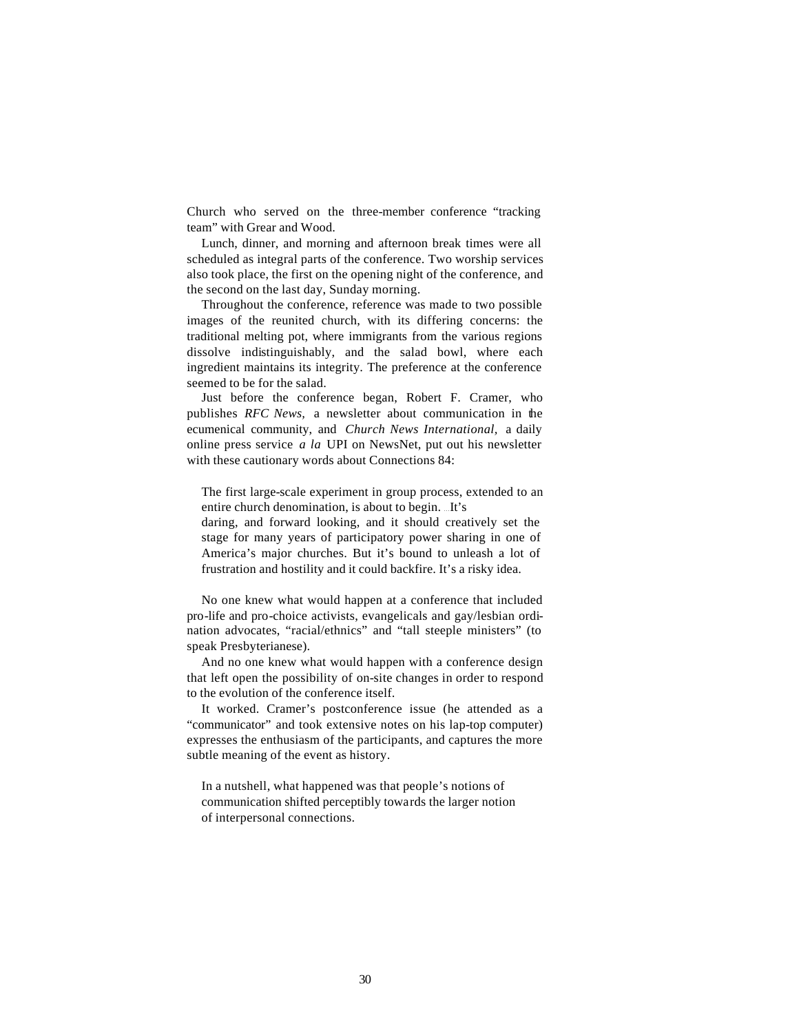Church who served on the three-member conference "tracking team" with Grear and Wood.

Lunch, dinner, and morning and afternoon break times were all scheduled as integral parts of the conference. Two worship services also took place, the first on the opening night of the conference, and the second on the last day, Sunday morning.

Throughout the conference, reference was made to two possible images of the reunited church, with its differing concerns: the traditional melting pot, where immigrants from the various regions dissolve indistinguishably, and the salad bowl, where each ingredient maintains its integrity. The preference at the conference seemed to be for the salad.

Just before the conference began, Robert F. Cramer, who publishes *RFC News,* a newsletter about communication in the ecumenical community, and *Church News International,* a daily online press service *a la* UPI on NewsNet, put out his newsletter with these cautionary words about Connections 84:

The first large-scale experiment in group process, extended to an entire church denomination, is about to begin. ...It's

daring, and forward looking, and it should creatively set the stage for many years of participatory power sharing in one of America's major churches. But it's bound to unleash a lot of frustration and hostility and it could backfire. It's a risky idea.

No one knew what would happen at a conference that included pro-life and pro-choice activists, evangelicals and gay/lesbian ordination advocates, "racial/ethnics" and "tall steeple ministers" (to speak Presbyterianese).

And no one knew what would happen with a conference design that left open the possibility of on-site changes in order to respond to the evolution of the conference itself.

It worked. Cramer's postconference issue (he attended as a "communicator" and took extensive notes on his lap-top computer) expresses the enthusiasm of the participants, and captures the more subtle meaning of the event as history.

In a nutshell, what happened was that people's notions of communication shifted perceptibly towards the larger notion of interpersonal connections.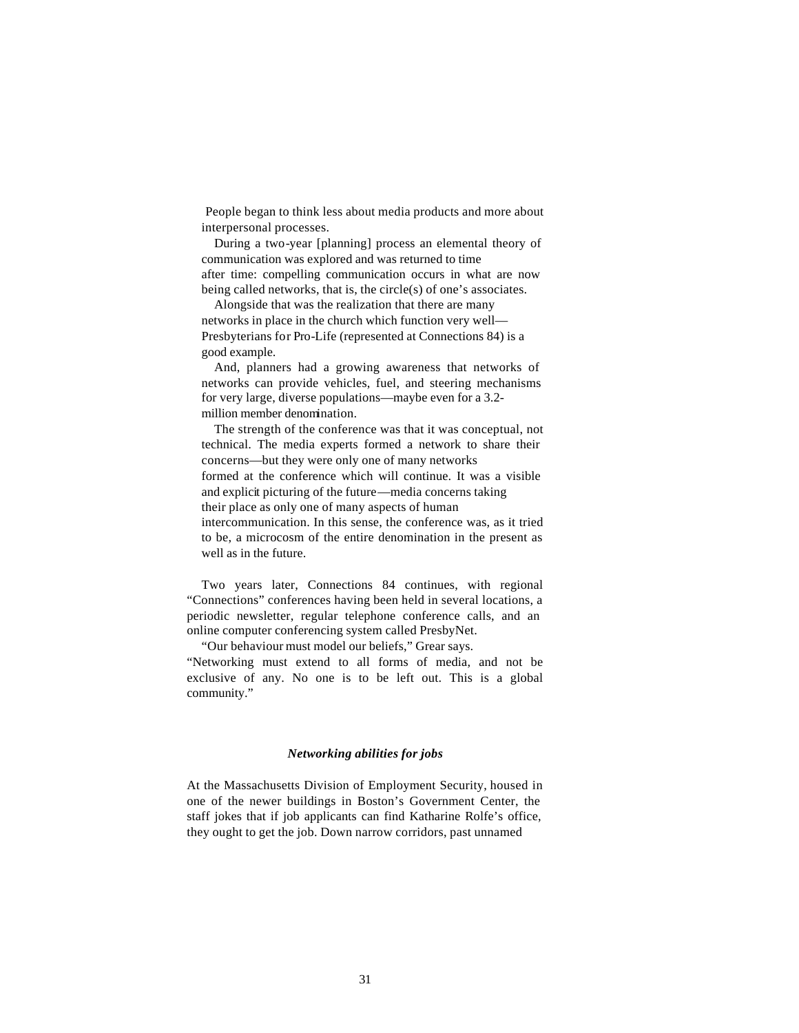People began to think less about media products and more about interpersonal processes.

During a two-year [planning] process an elemental theory of communication was explored and was returned to time after time: compelling communication occurs in what are now being called networks, that is, the circle(s) of one's associates.

Alongside that was the realization that there are many networks in place in the church which function very well— Presbyterians for Pro-Life (represented at Connections 84) is a good example.

And, planners had a growing awareness that networks of networks can provide vehicles, fuel, and steering mechanisms for very large, diverse populations—maybe even for a 3.2 million member denomination.

The strength of the conference was that it was conceptual, not technical. The media experts formed a network to share their concerns—but they were only one of many networks formed at the conference which will continue. It was a visible and explicit picturing of the future—media concerns taking their place as only one of many aspects of human intercommunication. In this sense, the conference was, as it tried to be, a microcosm of the entire denomination in the present as well as in the future.

Two years later, Connections 84 continues, with regional "Connections" conferences having been held in several locations, a periodic newsletter, regular telephone conference calls, and an online computer conferencing system called PresbyNet.

"Our behaviour must model our beliefs," Grear says. "Networking must extend to all forms of media, and not be exclusive of any. No one is to be left out. This is a global community."

### *Networking abilities for jobs*

At the Massachusetts Division of Employment Security, housed in one of the newer buildings in Boston's Government Center, the staff jokes that if job applicants can find Katharine Rolfe's office, they ought to get the job. Down narrow corridors, past unnamed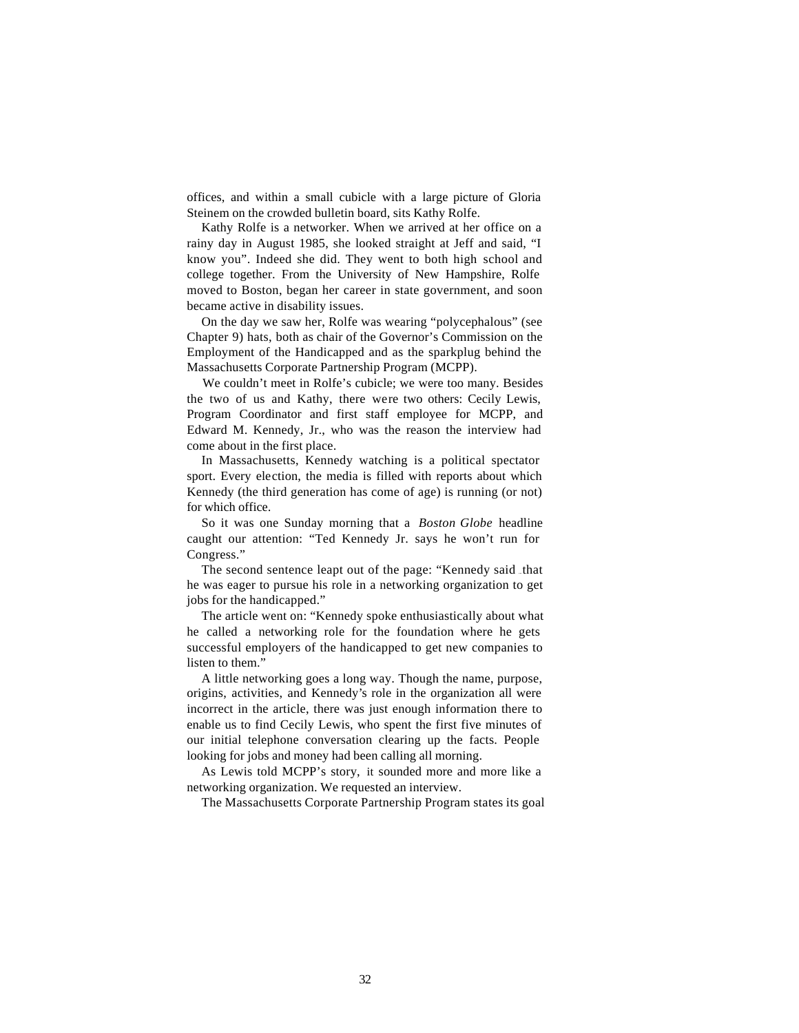offices, and within a small cubicle with a large picture of Gloria Steinem on the crowded bulletin board, sits Kathy Rolfe.

Kathy Rolfe is a networker. When we arrived at her office on a rainy day in August 1985, she looked straight at Jeff and said, "I know you". Indeed she did. They went to both high school and college together. From the University of New Hampshire, Rolfe moved to Boston, began her career in state government, and soon became active in disability issues.

On the day we saw her, Rolfe was wearing "polycephalous" (see Chapter 9) hats, both as chair of the Governor's Commission on the Employment of the Handicapped and as the sparkplug behind the Massachusetts Corporate Partnership Program (MCPP).

We couldn't meet in Rolfe's cubicle; we were too many. Besides the two of us and Kathy, there were two others: Cecily Lewis, Program Coordinator and first staff employee for MCPP, and Edward M. Kennedy, Jr., who was the reason the interview had come about in the first place.

In Massachusetts, Kennedy watching is a political spectator sport. Every election, the media is filled with reports about which Kennedy (the third generation has come of age) is running (or not) for which office.

So it was one Sunday morning that a *Boston Globe* headline caught our attention: "Ted Kennedy Jr. says he won't run for Congress."

The second sentence leapt out of the page: "Kennedy said that he was eager to pursue his role in a networking organization to get jobs for the handicapped."

The article went on: "Kennedy spoke enthusiastically about what he called a networking role for the foundation where he gets successful employers of the handicapped to get new companies to listen to them."

A little networking goes a long way. Though the name, purpose, origins, activities, and Kennedy's role in the organization all were incorrect in the article, there was just enough information there to enable us to find Cecily Lewis, who spent the first five minutes of our initial telephone conversation clearing up the facts. People looking for jobs and money had been calling all morning.

As Lewis told MCPP's story, it sounded more and more like a networking organization. We requested an interview.

The Massachusetts Corporate Partnership Program states its goal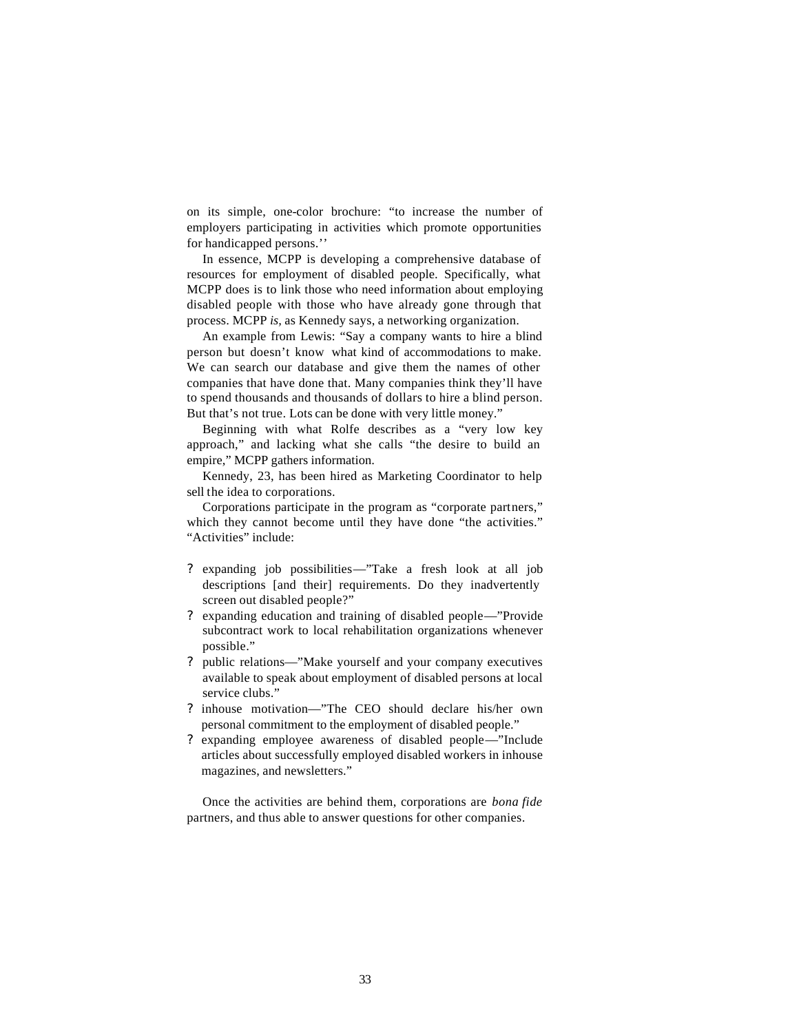on its simple, one-color brochure: "to increase the number of employers participating in activities which promote opportunities for handicapped persons.''

In essence, MCPP is developing a comprehensive database of resources for employment of disabled people. Specifically, what MCPP does is to link those who need information about employing disabled people with those who have already gone through that process. MCPP *is,* as Kennedy says, a networking organization.

An example from Lewis: "Say a company wants to hire a blind person but doesn't know what kind of accommodations to make. We can search our database and give them the names of other companies that have done that. Many companies think they'll have to spend thousands and thousands of dollars to hire a blind person. But that's not true. Lots can be done with very little money."

Beginning with what Rolfe describes as a "very low key approach," and lacking what she calls "the desire to build an empire," MCPP gathers information.

Kennedy, 23, has been hired as Marketing Coordinator to help sell the idea to corporations.

Corporations participate in the program as "corporate partners," which they cannot become until they have done "the activities." "Activities" include:

- ? expanding job possibilities—"Take a fresh look at all job descriptions [and their] requirements. Do they inadvertently screen out disabled people?"
- ? expanding education and training of disabled people—"Provide subcontract work to local rehabilitation organizations whenever possible."
- ? public relations—"Make yourself and your company executives available to speak about employment of disabled persons at local service clubs."
- ? inhouse motivation—"The CEO should declare his/her own personal commitment to the employment of disabled people."
- ? expanding employee awareness of disabled people—"Include articles about successfully employed disabled workers in inhouse magazines, and newsletters."

Once the activities are behind them, corporations are *bona fide*  partners, and thus able to answer questions for other companies.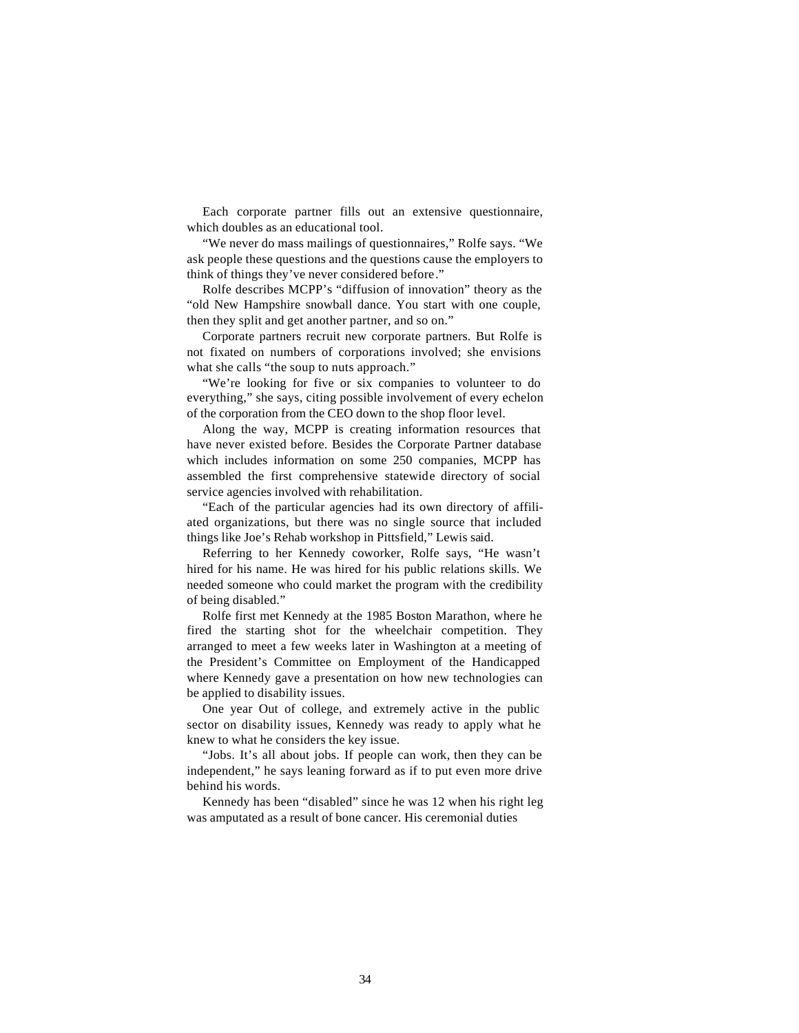Each corporate partner fills out an extensive questionnaire, which doubles as an educational tool.

"We never do mass mailings of questionnaires," Rolfe says. "We ask people these questions and the questions cause the employers to think of things they've never considered before."

Rolfe describes MCPP's "diffusion of innovation" theory as the "old New Hampshire snowball dance. You start with one couple, then they split and get another partner, and so on."

Corporate partners recruit new corporate partners. But Rolfe is not fixated on numbers of corporations involved; she envisions what she calls "the soup to nuts approach."

"We're looking for five or six companies to volunteer to do everything," she says, citing possible involvement of every echelon of the corporation from the CEO down to the shop floor level.

Along the way, MCPP is creating information resources that have never existed before. Besides the Corporate Partner database which includes information on some 250 companies, MCPP has assembled the first comprehensive statewide directory of social service agencies involved with rehabilitation.

"Each of the particular agencies had its own directory of affiliated organizations, but there was no single source that included things like Joe's Rehab workshop in Pittsfield," Lewis said.

Referring to her Kennedy coworker, Rolfe says, "He wasn't hired for his name. He was hired for his public relations skills. We needed someone who could market the program with the credibility of being disabled."

Rolfe first met Kennedy at the 1985 Boston Marathon, where he fired the starting shot for the wheelchair competition. They arranged to meet a few weeks later in Washington at a meeting of the President's Committee on Employment of the Handicapped where Kennedy gave a presentation on how new technologies can be applied to disability issues.

One year Out of college, and extremely active in the public sector on disability issues, Kennedy was ready to apply what he knew to what he considers the key issue.

"Jobs. It's all about jobs. If people can work, then they can be independent," he says leaning forward as if to put even more drive behind his words.

Kennedy has been "disabled" since he was 12 when his right leg was amputated as a result of bone cancer. His ceremonial duties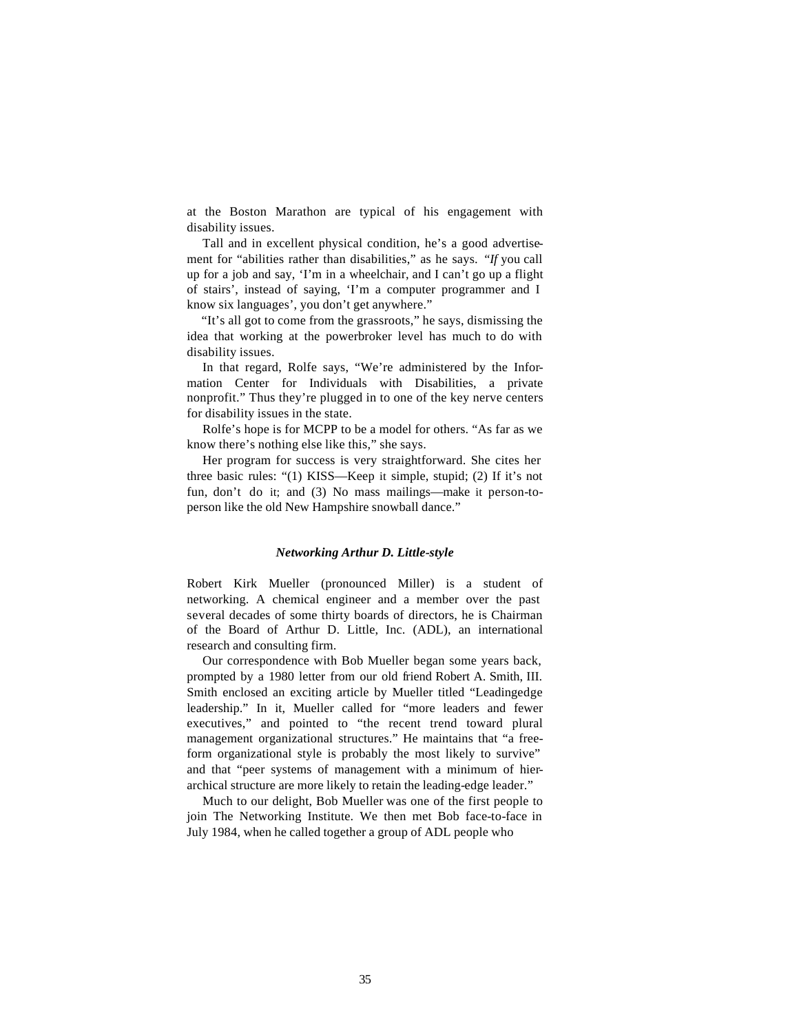at the Boston Marathon are typical of his engagement with disability issues.

Tall and in excellent physical condition, he's a good advertisement for "abilities rather than disabilities," as he says. *"If* you call up for a job and say, 'I'm in a wheelchair, and I can't go up a flight of stairs', instead of saying, 'I'm a computer programmer and I know six languages', you don't get anywhere."

"It's all got to come from the grassroots," he says, dismissing the idea that working at the powerbroker level has much to do with disability issues.

In that regard, Rolfe says, "We're administered by the Information Center for Individuals with Disabilities, a private nonprofit." Thus they're plugged in to one of the key nerve centers for disability issues in the state.

Rolfe's hope is for MCPP to be a model for others. "As far as we know there's nothing else like this," she says.

Her program for success is very straightforward. She cites her three basic rules: "(1) KISS—Keep it simple, stupid; (2) If it's not fun, don't do it; and (3) No mass mailings—make it person-toperson like the old New Hampshire snowball dance."

#### *Networking Arthur D. Little-style*

Robert Kirk Mueller (pronounced Miller) is a student of networking. A chemical engineer and a member over the past several decades of some thirty boards of directors, he is Chairman of the Board of Arthur D. Little, Inc. (ADL), an international research and consulting firm.

Our correspondence with Bob Mueller began some years back, prompted by a 1980 letter from our old friend Robert A. Smith, III. Smith enclosed an exciting article by Mueller titled "Leadingedge leadership." In it, Mueller called for "more leaders and fewer executives," and pointed to "the recent trend toward plural management organizational structures." He maintains that "a freeform organizational style is probably the most likely to survive" and that "peer systems of management with a minimum of hierarchical structure are more likely to retain the leading-edge leader."

Much to our delight, Bob Mueller was one of the first people to join The Networking Institute. We then met Bob face-to-face in July 1984, when he called together a group of ADL people who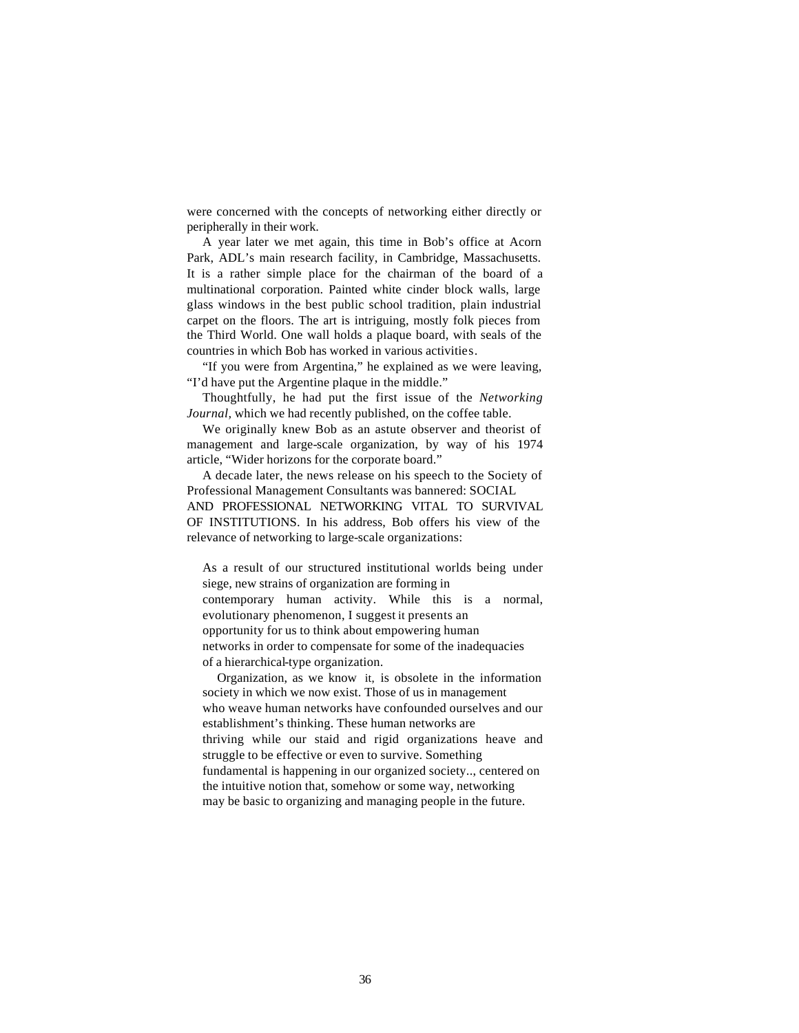were concerned with the concepts of networking either directly or peripherally in their work.

A year later we met again, this time in Bob's office at Acorn Park, ADL's main research facility, in Cambridge, Massachusetts. It is a rather simple place for the chairman of the board of a multinational corporation. Painted white cinder block walls, large glass windows in the best public school tradition, plain industrial carpet on the floors. The art is intriguing, mostly folk pieces from the Third World. One wall holds a plaque board, with seals of the countries in which Bob has worked in various activities.

"If you were from Argentina," he explained as we were leaving, "I'd have put the Argentine plaque in the middle."

Thoughtfully, he had put the first issue of the *Networking Journal,* which we had recently published, on the coffee table.

We originally knew Bob as an astute observer and theorist of management and large-scale organization, by way of his 1974 article, "Wider horizons for the corporate board."

A decade later, the news release on his speech to the Society of Professional Management Consultants was bannered: SOCIAL AND PROFESSIONAL NETWORKING VITAL TO SURVIVAL OF INSTITUTIONS. In his address, Bob offers his view of the relevance of networking to large-scale organizations:

As a result of our structured institutional worlds being under siege, new strains of organization are forming in contemporary human activity. While this is a normal, evolutionary phenomenon, I suggest it presents an opportunity for us to think about empowering human networks in order to compensate for some of the inadequacies of a hierarchical-type organization.

Organization, as we know it, is obsolete in the information society in which we now exist. Those of us in management who weave human networks have confounded ourselves and our establishment's thinking. These human networks are thriving while our staid and rigid organizations heave and struggle to be effective or even to survive. Something fundamental is happening in our organized society.., centered on the intuitive notion that, somehow or some way, networking may be basic to organizing and managing people in the future.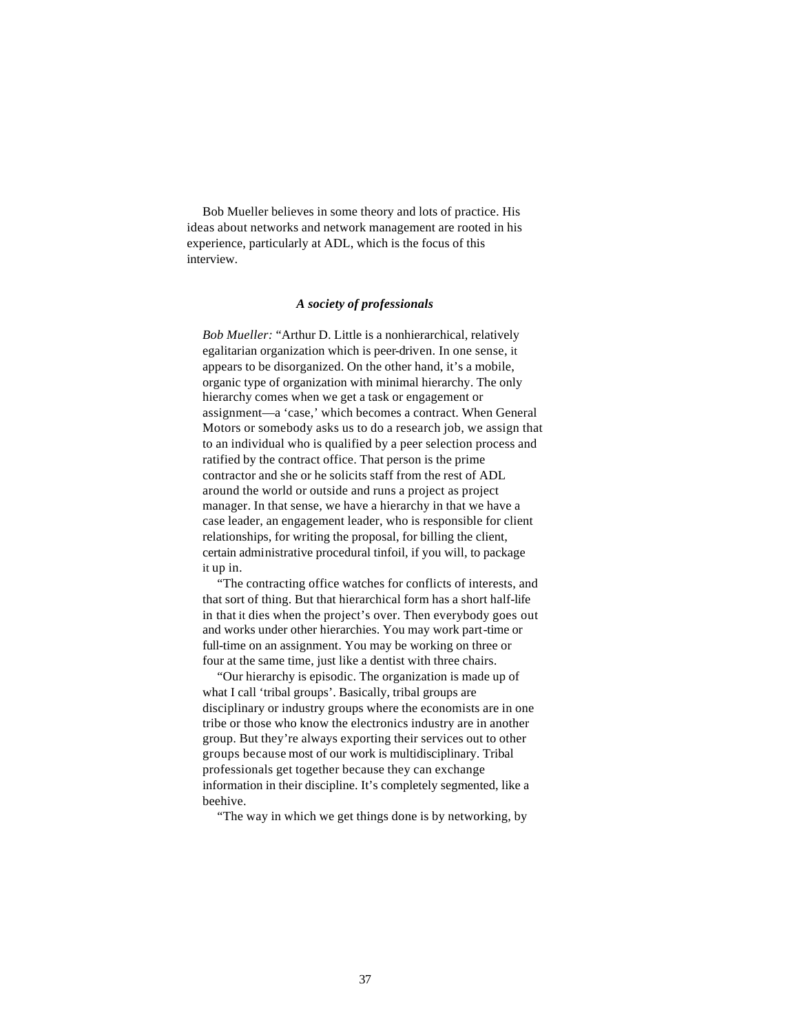Bob Mueller believes in some theory and lots of practice. His ideas about networks and network management are rooted in his experience, particularly at ADL, which is the focus of this interview.

#### *A society of professionals*

*Bob Mueller:* "Arthur D. Little is a nonhierarchical, relatively egalitarian organization which is peer-driven. In one sense, it appears to be disorganized. On the other hand, it's a mobile, organic type of organization with minimal hierarchy. The only hierarchy comes when we get a task or engagement or assignment—a 'case,' which becomes a contract. When General Motors or somebody asks us to do a research job, we assign that to an individual who is qualified by a peer selection process and ratified by the contract office. That person is the prime contractor and she or he solicits staff from the rest of ADL around the world or outside and runs a project as project manager. In that sense, we have a hierarchy in that we have a case leader, an engagement leader, who is responsible for client relationships, for writing the proposal, for billing the client, certain administrative procedural tinfoil, if you will, to package it up in.

"The contracting office watches for conflicts of interests, and that sort of thing. But that hierarchical form has a short half-life in that it dies when the project's over. Then everybody goes out and works under other hierarchies. You may work part-time or full-time on an assignment. You may be working on three or four at the same time, just like a dentist with three chairs.

"Our hierarchy is episodic. The organization is made up of what I call 'tribal groups'. Basically, tribal groups are disciplinary or industry groups where the economists are in one tribe or those who know the electronics industry are in another group. But they're always exporting their services out to other groups because most of our work is multidisciplinary. Tribal professionals get together because they can exchange information in their discipline. It's completely segmented, like a beehive.

"The way in which we get things done is by networking, by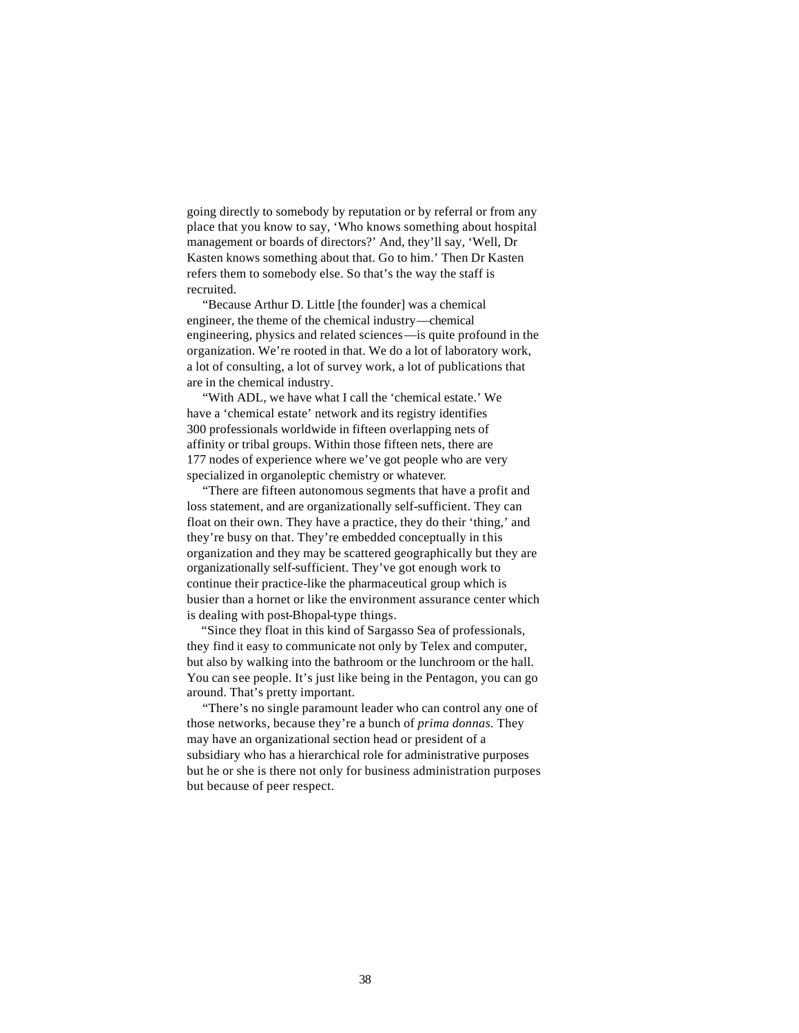going directly to somebody by reputation or by referral or from any place that you know to say, 'Who knows something about hospital management or boards of directors?' And, they'll say, 'Well, Dr Kasten knows something about that. Go to him.' Then Dr Kasten refers them to somebody else. So that's the way the staff is recruited.

"Because Arthur D. Little [the founder] was a chemical engineer, the theme of the chemical industry—chemical engineering, physics and related sciences—is quite profound in the organization. We're rooted in that. We do a lot of laboratory work, a lot of consulting, a lot of survey work, a lot of publications that are in the chemical industry.

"With ADL, we have what I call the 'chemical estate.' We have a 'chemical estate' network and its registry identifies 300 professionals worldwide in fifteen overlapping nets of affinity or tribal groups. Within those fifteen nets, there are 177 nodes of experience where we've got people who are very specialized in organoleptic chemistry or whatever.

"There are fifteen autonomous segments that have a profit and loss statement, and are organizationally self-sufficient. They can float on their own. They have a practice, they do their 'thing,' and they're busy on that. They're embedded conceptually in this organization and they may be scattered geographically but they are organizationally self-sufficient. They've got enough work to continue their practice-like the pharmaceutical group which is busier than a hornet or like the environment assurance center which is dealing with post-Bhopal-type things.

"Since they float in this kind of Sargasso Sea of professionals, they find it easy to communicate not only by Telex and computer, but also by walking into the bathroom or the lunchroom or the hall. You can see people. It's just like being in the Pentagon, you can go around. That's pretty important.

"There's no single paramount leader who can control any one of those networks, because they're a bunch of *prima donnas.* They may have an organizational section head or president of a subsidiary who has a hierarchical role for administrative purposes but he or she is there not only for business administration purposes but because of peer respect.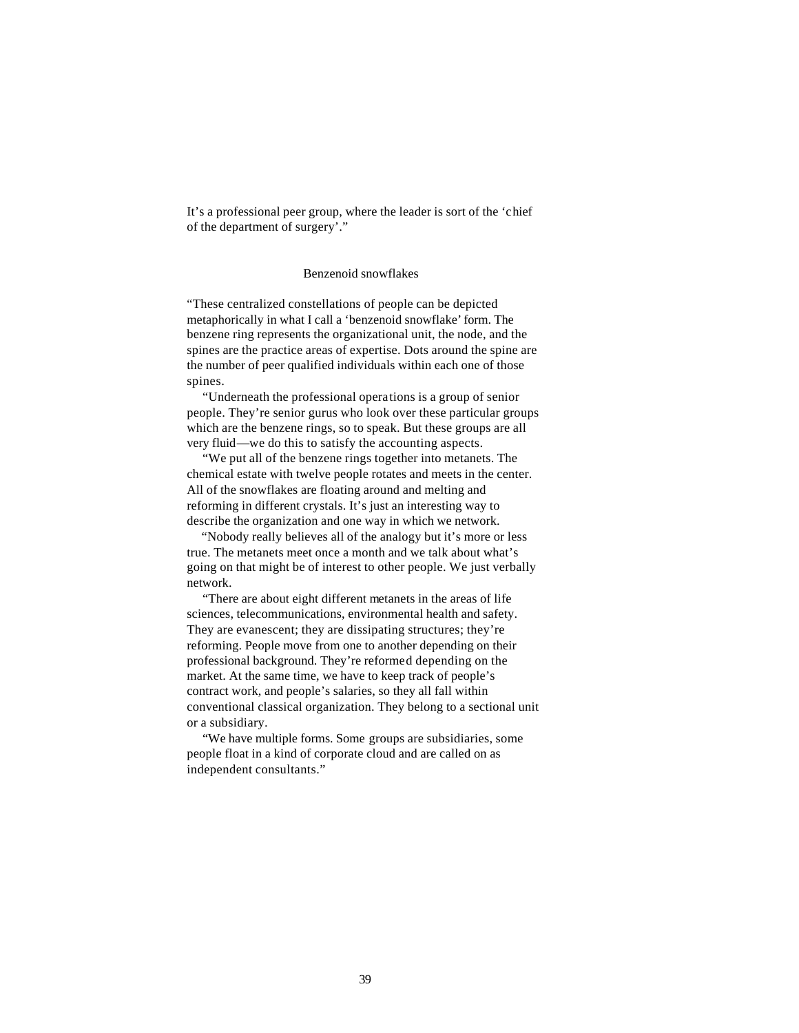It's a professional peer group, where the leader is sort of the 'chief of the department of surgery'."

## Benzenoid snowflakes

"These centralized constellations of people can be depicted metaphorically in what I call a 'benzenoid snowflake' form. The benzene ring represents the organizational unit, the node, and the spines are the practice areas of expertise. Dots around the spine are the number of peer qualified individuals within each one of those spines.

"Underneath the professional operations is a group of senior people. They're senior gurus who look over these particular groups which are the benzene rings, so to speak. But these groups are all very fluid—we do this to satisfy the accounting aspects.

"We put all of the benzene rings together into metanets. The chemical estate with twelve people rotates and meets in the center. All of the snowflakes are floating around and melting and reforming in different crystals. It's just an interesting way to describe the organization and one way in which we network.

"Nobody really believes all of the analogy but it's more or less true. The metanets meet once a month and we talk about what's going on that might be of interest to other people. We just verbally network.

"There are about eight different metanets in the areas of life sciences, telecommunications, environmental health and safety. They are evanescent; they are dissipating structures; they're reforming. People move from one to another depending on their professional background. They're reformed depending on the market. At the same time, we have to keep track of people's contract work, and people's salaries, so they all fall within conventional classical organization. They belong to a sectional unit or a subsidiary.

"We have multiple forms. Some groups are subsidiaries, some people float in a kind of corporate cloud and are called on as independent consultants."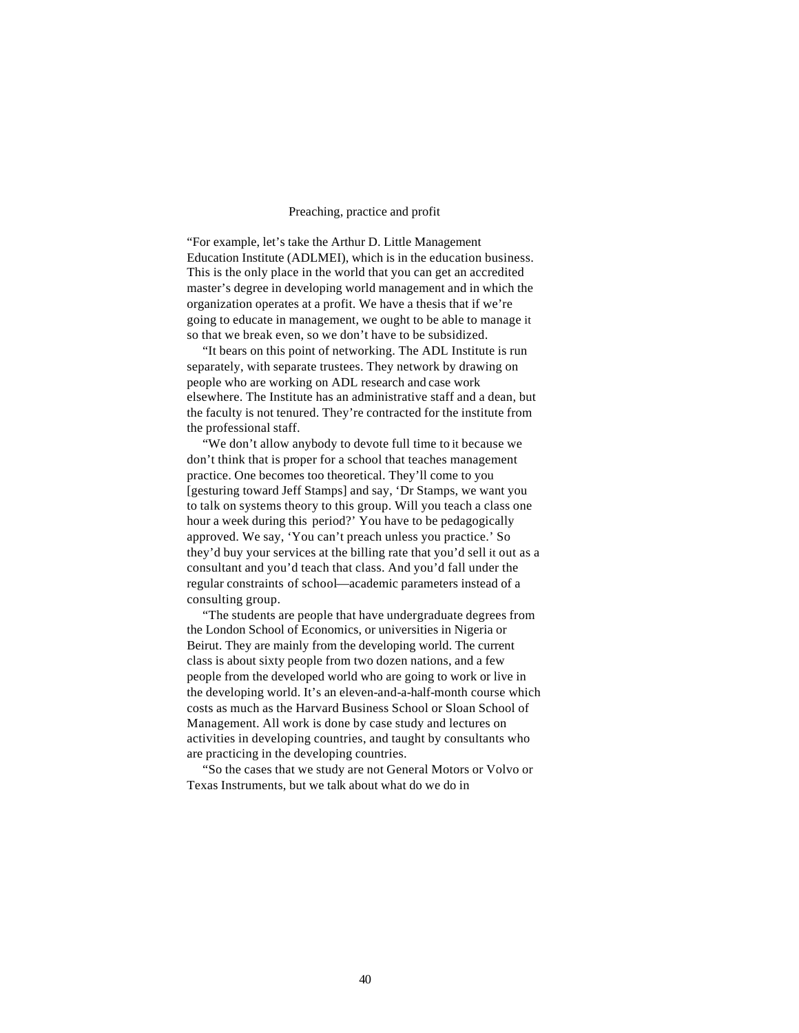#### Preaching, practice and profit

"For example, let's take the Arthur D. Little Management Education Institute (ADLMEI), which is in the education business. This is the only place in the world that you can get an accredited master's degree in developing world management and in which the organization operates at a profit. We have a thesis that if we're going to educate in management, we ought to be able to manage it so that we break even, so we don't have to be subsidized.

"It bears on this point of networking. The ADL Institute is run separately, with separate trustees. They network by drawing on people who are working on ADL research and case work elsewhere. The Institute has an administrative staff and a dean, but the faculty is not tenured. They're contracted for the institute from the professional staff.

"We don't allow anybody to devote full time to it because we don't think that is proper for a school that teaches management practice. One becomes too theoretical. They'll come to you [gesturing toward Jeff Stamps] and say, 'Dr Stamps, we want you to talk on systems theory to this group. Will you teach a class one hour a week during this period?' You have to be pedagogically approved. We say, 'You can't preach unless you practice.' So they'd buy your services at the billing rate that you'd sell it out as a consultant and you'd teach that class. And you'd fall under the regular constraints of school—academic parameters instead of a consulting group.

"The students are people that have undergraduate degrees from the London School of Economics, or universities in Nigeria or Beirut. They are mainly from the developing world. The current class is about sixty people from two dozen nations, and a few people from the developed world who are going to work or live in the developing world. It's an eleven-and-a-half-month course which costs as much as the Harvard Business School or Sloan School of Management. All work is done by case study and lectures on activities in developing countries, and taught by consultants who are practicing in the developing countries.

"So the cases that we study are not General Motors or Volvo or Texas Instruments, but we talk about what do we do in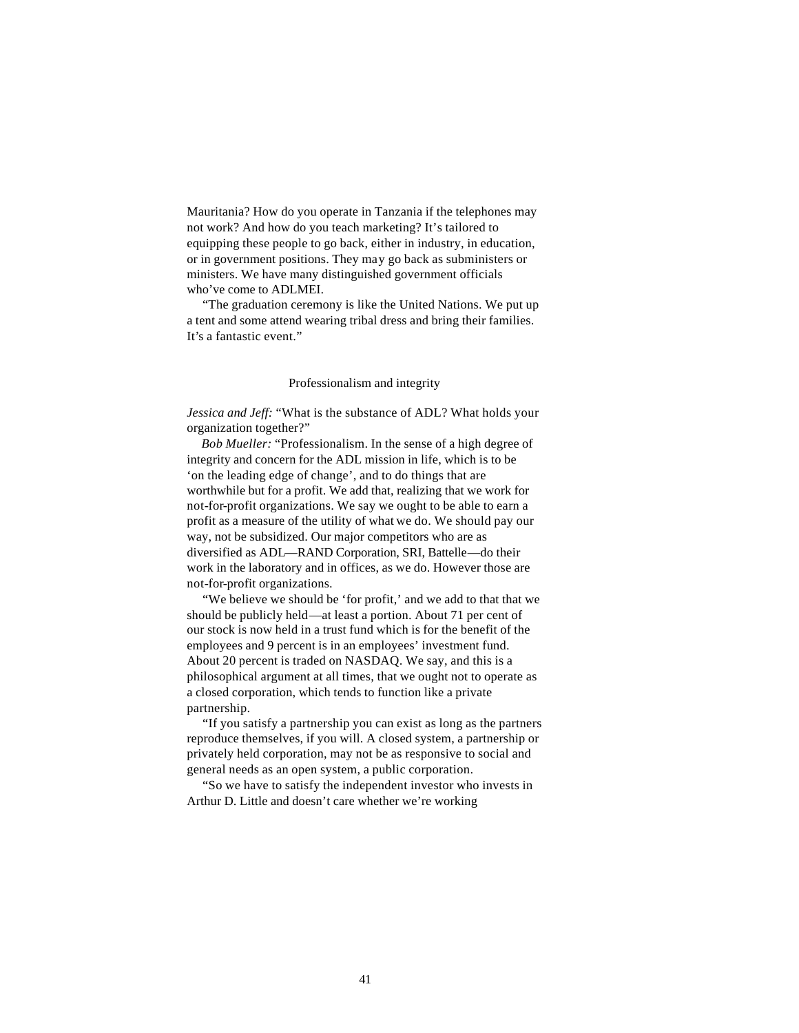Mauritania? How do you operate in Tanzania if the telephones may not work? And how do you teach marketing? It's tailored to equipping these people to go back, either in industry, in education, or in government positions. They may go back as subministers or ministers. We have many distinguished government officials who've come to ADLMEI.

"The graduation ceremony is like the United Nations. We put up a tent and some attend wearing tribal dress and bring their families. It's a fantastic event."

#### Professionalism and integrity

*Jessica and Jeff:* "What is the substance of ADL? What holds your organization together?"

*Bob Mueller:* "Professionalism. In the sense of a high degree of integrity and concern for the ADL mission in life, which is to be 'on the leading edge of change', and to do things that are worthwhile but for a profit. We add that, realizing that we work for not-for-profit organizations. We say we ought to be able to earn a profit as a measure of the utility of what we do. We should pay our way, not be subsidized. Our major competitors who are as diversified as ADL—RAND Corporation, SRI, Battelle—do their work in the laboratory and in offices, as we do. However those are not-for-profit organizations.

"We believe we should be 'for profit,' and we add to that that we should be publicly held—at least a portion. About 71 per cent of our stock is now held in a trust fund which is for the benefit of the employees and 9 percent is in an employees' investment fund. About 20 percent is traded on NASDAQ. We say, and this is a philosophical argument at all times, that we ought not to operate as a closed corporation, which tends to function like a private partnership.

"If you satisfy a partnership you can exist as long as the partners reproduce themselves, if you will. A closed system, a partnership or privately held corporation, may not be as responsive to social and general needs as an open system, a public corporation.

"So we have to satisfy the independent investor who invests in Arthur D. Little and doesn't care whether we're working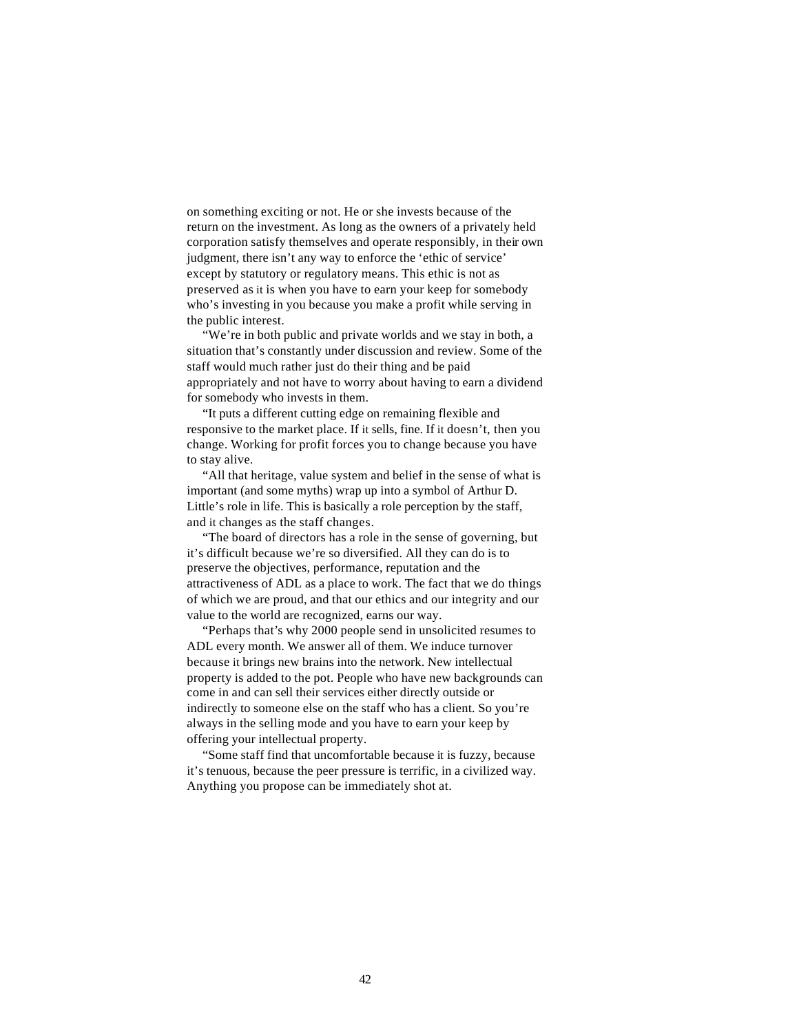on something exciting or not. He or she invests because of the return on the investment. As long as the owners of a privately held corporation satisfy themselves and operate responsibly, in their own judgment, there isn't any way to enforce the 'ethic of service' except by statutory or regulatory means. This ethic is not as preserved as it is when you have to earn your keep for somebody who's investing in you because you make a profit while serving in the public interest.

"We're in both public and private worlds and we stay in both, a situation that's constantly under discussion and review. Some of the staff would much rather just do their thing and be paid appropriately and not have to worry about having to earn a dividend for somebody who invests in them.

"It puts a different cutting edge on remaining flexible and responsive to the market place. If it sells, fine. If it doesn't, then you change. Working for profit forces you to change because you have to stay alive.

"All that heritage, value system and belief in the sense of what is important (and some myths) wrap up into a symbol of Arthur D. Little's role in life. This is basically a role perception by the staff, and it changes as the staff changes.

"The board of directors has a role in the sense of governing, but it's difficult because we're so diversified. All they can do is to preserve the objectives, performance, reputation and the attractiveness of ADL as a place to work. The fact that we do things of which we are proud, and that our ethics and our integrity and our value to the world are recognized, earns our way.

"Perhaps that's why 2000 people send in unsolicited resumes to ADL every month. We answer all of them. We induce turnover because it brings new brains into the network. New intellectual property is added to the pot. People who have new backgrounds can come in and can sell their services either directly outside or indirectly to someone else on the staff who has a client. So you're always in the selling mode and you have to earn your keep by offering your intellectual property.

"Some staff find that uncomfortable because it is fuzzy, because it's tenuous, because the peer pressure is terrific, in a civilized way. Anything you propose can be immediately shot at.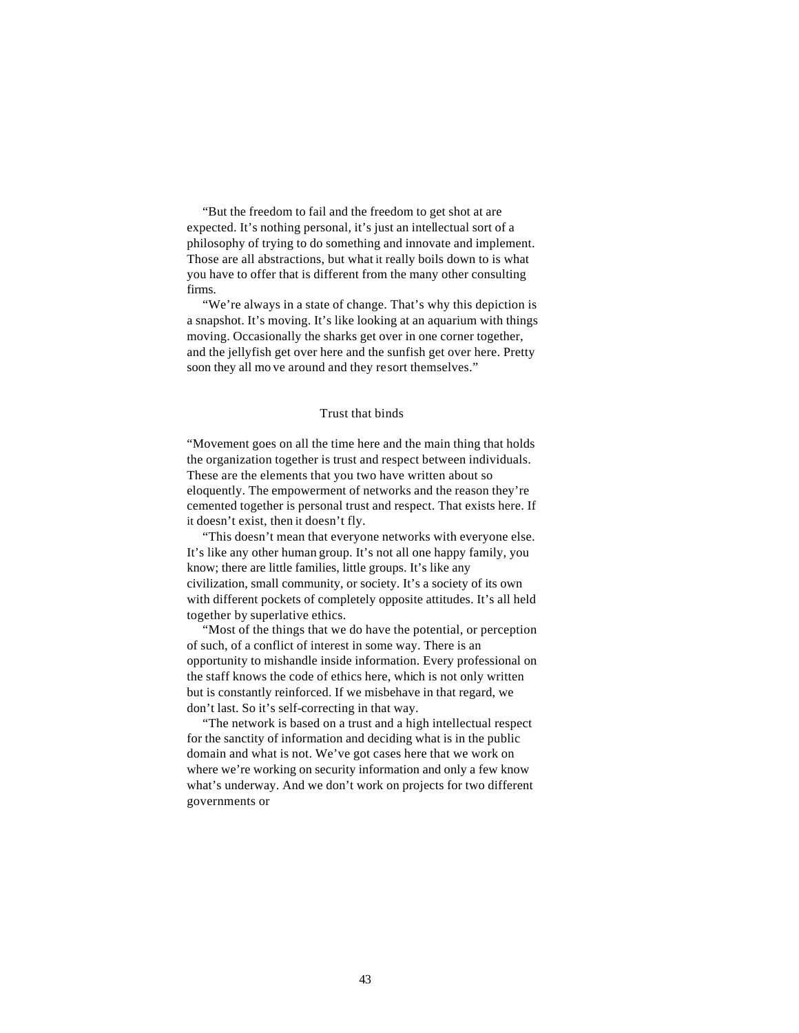"But the freedom to fail and the freedom to get shot at are expected. It's nothing personal, it's just an intellectual sort of a philosophy of trying to do something and innovate and implement. Those are all abstractions, but what it really boils down to is what you have to offer that is different from the many other consulting firms.

"We're always in a state of change. That's why this depiction is a snapshot. It's moving. It's like looking at an aquarium with things moving. Occasionally the sharks get over in one corner together, and the jellyfish get over here and the sunfish get over here. Pretty soon they all mo ve around and they resort themselves."

#### Trust that binds

"Movement goes on all the time here and the main thing that holds the organization together is trust and respect between individuals. These are the elements that you two have written about so eloquently. The empowerment of networks and the reason they're cemented together is personal trust and respect. That exists here. If it doesn't exist, then it doesn't fly.

"This doesn't mean that everyone networks with everyone else. It's like any other human group. It's not all one happy family, you know; there are little families, little groups. It's like any civilization, small community, or society. It's a society of its own with different pockets of completely opposite attitudes. It's all held together by superlative ethics.

"Most of the things that we do have the potential, or perception of such, of a conflict of interest in some way. There is an opportunity to mishandle inside information. Every professional on the staff knows the code of ethics here, which is not only written but is constantly reinforced. If we misbehave in that regard, we don't last. So it's self-correcting in that way.

"The network is based on a trust and a high intellectual respect for the sanctity of information and deciding what is in the public domain and what is not. We've got cases here that we work on where we're working on security information and only a few know what's underway. And we don't work on projects for two different governments or